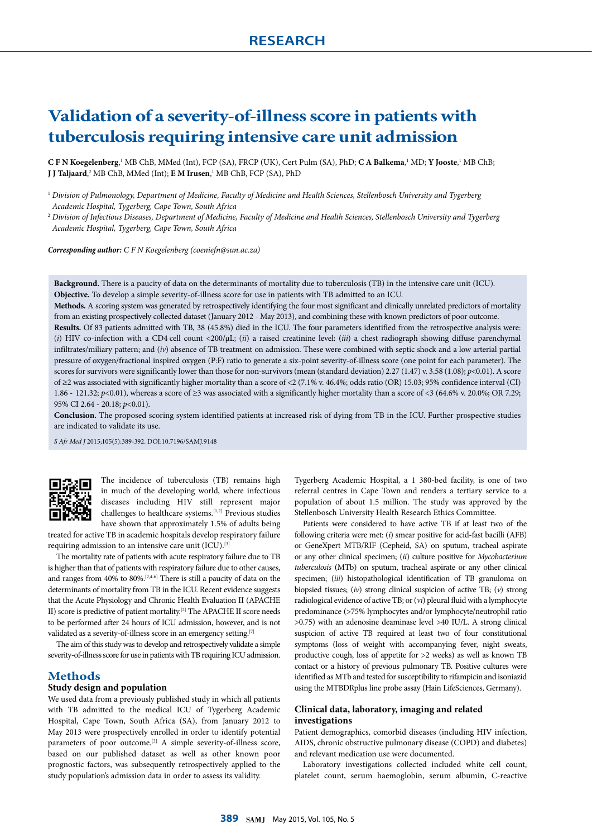# **Validation of a severity-of-illness score in patients with tuberculosis requiring intensive care unit admission**

**C F N Koegelenberg,**<sup>1</sup> MB ChB, MMed (Int), FCP (SA), FRCP (UK), Cert Pulm (SA), PhD; **C A Balkema**,<sup>1</sup> MD; **Y Jooste**,<sup>1</sup> MB ChB; **J J Taljaard**, 2 MB ChB, MMed (Int); **E M Irusen**, 1 MB ChB, FCP (SA), PhD

<sup>1</sup> *Division of Pulmonology, Department of Medicine, Faculty of Medicine and Health Sciences, Stellenbosch University and Tygerberg Academic Hospital, Tygerberg, Cape Town, South Africa*

<sup>2</sup> *Division of Infectious Diseases, Department of Medicine, Faculty of Medicine and Health Sciences, Stellenbosch University and Tygerberg Academic Hospital, Tygerberg, Cape Town, South Africa*

*Corresponding author: C F N Koegelenberg (coeniefn@sun.ac.za)*

**Background.** There is a paucity of data on the determinants of mortality due to tuberculosis (TB) in the intensive care unit (ICU). **Objective.** To develop a simple severity-of-illness score for use in patients with TB admitted to an ICU.

**Methods.** A scoring system was generated by retrospectively identifying the four most significant and clinically unrelated predictors of mortality from an existing prospectively collected dataset (January 2012 - May 2013), and combining these with known predictors of poor outcome.

**Results.** Of 83 patients admitted with TB, 38 (45.8%) died in the ICU. The four parameters identified from the retrospective analysis were: (*i*) HIV co-infection with a CD4 cell count <200/µL; (*ii*) a raised creatinine level: (*iii*) a chest radiograph showing diffuse parenchymal infiltrates/miliary pattern; and (*iv*) absence of TB treatment on admission. These were combined with septic shock and a low arterial partial pressure of oxygen/fractional inspired oxygen (P:F) ratio to generate a six-point severity-of-illness score (one point for each parameter). The scores for survivors were significantly lower than those for non-survivors (mean (standard deviation) 2.27 (1.47) v. 3.58 (1.08);  $p$ <0.01). A score of ≥2 was associated with significantly higher mortality than a score of <2 (7.1% v. 46.4%; odds ratio (OR) 15.03; 95% confidence interval (CI) 1.86 - 121.32; *p*<0.01), whereas a score of ≥3 was associated with a significantly higher mortality than a score of <3 (64.6% v. 20.0%; OR 7.29; 95% CI 2.64 - 20.18; *p*<0.01).

**Conclusion.** The proposed scoring system identified patients at increased risk of dying from TB in the ICU. Further prospective studies are indicated to validate its use.

*S Afr Med J* 2015;105(5):389-392. DOI:10.7196/SAMJ.9148



The incidence of tuberculosis (TB) remains high in much of the developing world, where infectious diseases including HIV still represent major challenges to healthcare systems.[1,2] Previous studies have shown that approximately 1.5% of adults being

treated for active TB in academic hospitals develop respiratory failure requiring admission to an intensive care unit (ICU).<sup>[3]</sup>

The mortality rate of patients with acute respiratory failure due to TB is higher than that of patients with respiratory failure due to other causes, and ranges from 40% to 80%.[2,4-6] There is still a paucity of data on the determinants of mortality from TB in the ICU. Recent evidence suggests that the Acute Physiology and Chronic Health Evaluation II (APACHE II) score is predictive of patient mortality.[2] The APACHE II score needs to be performed after 24 hours of ICU admission, however, and is not validated as a severity-of-illness score in an emergency setting.<sup>[7]</sup>

The aim of this study was to develop and retrospectively validate a simple severity-of-illness score for use in patients with TB requiring ICU admission.

## **Methods**

#### **Study design and population**

We used data from a previously published study in which all patients with TB admitted to the medical ICU of Tygerberg Academic Hospital, Cape Town, South Africa (SA), from January 2012 to May 2013 were prospectively enrolled in order to identify potential parameters of poor outcome.[2] A simple severity-of-illness score, based on our published dataset as well as other known poor prognostic factors, was subsequently retrospectively applied to the study population's admission data in order to assess its validity.

Tygerberg Academic Hospital, a 1 380-bed facility, is one of two referral centres in Cape Town and renders a tertiary service to a population of about 1.5 million. The study was approved by the Stellenbosch University Health Research Ethics Committee.

Patients were considered to have active TB if at least two of the following criteria were met: (*i*) smear positive for acid-fast bacilli (AFB) or GeneXpert MTB/RIF (Cepheid, SA) on sputum, tracheal aspirate or any other clinical specimen; (*ii*) culture positive for *Mycobacterium tuberculosis* (MTb) on sputum, tracheal aspirate or any other clinical specimen; (*iii*) histopathological identification of TB granuloma on biopsied tissues; (*iv*) strong clinical suspicion of active TB; (*v*) strong radiological evidence of active TB; or (*vi*) pleural fluid with a lymphocyte predominance (>75% lymphocytes and/or lymphocyte/neutrophil ratio >0.75) with an adenosine deaminase level >40 IU/L. A strong clinical suspicion of active TB required at least two of four constitutional symptoms (loss of weight with accompanying fever, night sweats, productive cough, loss of appetite for >2 weeks) as well as known TB contact or a history of previous pulmonary TB. Positive cultures were identified as MTb and tested for susceptibility to rifampicin and isoniazid using the MTBDRplus line probe assay (Hain LifeSciences, Germany).

## **Clinical data, laboratory, imaging and related investigations**

Patient demographics, comorbid diseases (including HIV infection, AIDS, chronic obstructive pulmonary disease (COPD) and diabetes) and relevant medication use were documented.

Laboratory investigations collected included white cell count, platelet count, serum haemoglobin, serum albumin, C-reactive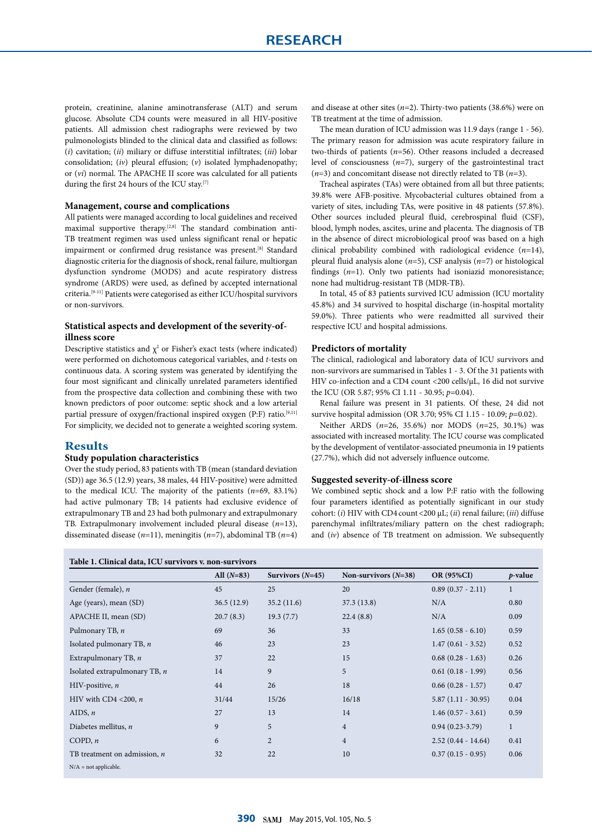protein, creatinine, alanine aminotransferase (ALT) and serum glucose. Absolute CD4 counts were measured in all HIV-positive patients. All admission chest radiographs were reviewed by two pulmonologists blinded to the clinical data and classified as follows: (*i*) cavitation; (*ii*) miliary or diffuse interstitial infiltrates; (*iii*) lobar consolidation; (*iv*) pleural effusion; (*v*) isolated lymphadenopathy; or (*vi*) normal. The APACHE II score was calculated for all patients during the first 24 hours of the ICU stay.<sup>[7]</sup>

#### **Management, course and complications**

All patients were managed according to local guidelines and received maximal supportive therapy.[2,8] The standard combination anti-TB treatment regimen was used unless significant renal or hepatic impairment or confirmed drug resistance was present.<sup>[8]</sup> Standard diagnostic criteria for the diagnosis of shock, renal failure, multiorgan dysfunction syndrome (MODS) and acute respiratory distress syndrome (ARDS) were used, as defined by accepted international criteria.[9-11] Patients were categorised as either ICU/hospital survivors or non-survivors.

## **Statistical aspects and development of the severity-ofillness score**

Descriptive statistics and  $\chi^2$  or Fisher's exact tests (where indicated) were performed on dichotomous categorical variables, and *t*-tests on continuous data. A scoring system was generated by identifying the four most significant and clinically unrelated parameters identified from the prospective data collection and combining these with two known predictors of poor outcome: septic shock and a low arterial partial pressure of oxygen/fractional inspired oxygen (P:F) ratio.<sup>[9,11]</sup> For simplicity, we decided not to generate a weighted scoring system.

## **Results**

## **Study population characteristics**

Over the study period, 83 patients with TB (mean (standard deviation (SD)) age 36.5 (12.9) years, 38 males, 44 HIV-positive) were admitted to the medical ICU. The majority of the patients (*n*=69, 83.1%) had active pulmonary TB; 14 patients had exclusive evidence of extrapulmonary TB and 23 had both pulmonary and extrapulmonary TB. Extrapulmonary involvement included pleural disease (*n*=13), disseminated disease (*n*=11), meningitis (*n*=7), abdominal TB (*n*=4)

**Table 1. Clinical data, ICU survivors v. non-survivors** 

and disease at other sites (*n*=2). Thirty-two patients (38.6%) were on TB treatment at the time of admission.

The mean duration of ICU admission was 11.9 days (range 1 - 56). The primary reason for admission was acute respiratory failure in two-thirds of patients (*n*=56). Other reasons included a decreased level of consciousness (*n*=7), surgery of the gastrointestinal tract (*n*=3) and concomitant disease not directly related to TB (*n*=3).

Tracheal aspirates (TAs) were obtained from all but three patients; 39.8% were AFB-positive. Mycobacterial cultures obtained from a variety of sites, including TAs, were positive in 48 patients (57.8%). Other sources included pleural fluid, cerebrospinal fluid (CSF), blood, lymph nodes, ascites, urine and placenta. The diagnosis of TB in the absence of direct microbiological proof was based on a high clinical probability combined with radiological evidence (*n*=14), pleural fluid analysis alone (*n*=5), CSF analysis (*n*=7) or histological findings (*n*=1). Only two patients had isoniazid monoresistance; none had multidrug-resistant TB (MDR-TB).

In total, 45 of 83 patients survived ICU admission (ICU mortality 45.8%) and 34 survived to hospital discharge (in-hospital mortality 59.0%). Three patients who were readmitted all survived their respective ICU and hospital admissions.

#### **Predictors of mortality**

The clinical, radiological and laboratory data of ICU survivors and non-survivors are summarised in Tables 1 - 3. Of the 31 patients with HIV co-infection and a CD4 count <200 cells/µL, 16 did not survive the ICU (OR 5.87; 95% CI 1.11 - 30.95; *p*=0.04).

Renal failure was present in 31 patients. Of these, 24 did not survive hospital admission (OR 3.70; 95% CI 1.15 - 10.09; *p*=0.02).

Neither ARDS (*n*=26, 35.6%) nor MODS (*n*=25, 30.1%) was associated with increased mortality. The ICU course was complicated by the development of ventilator-associated pneumonia in 19 patients (27.7%), which did not adversely influence outcome.

#### **Suggested severity-of-illness score**

We combined septic shock and a low P:F ratio with the following four parameters identified as potentially significant in our study cohort: (*i*) HIV with CD4 count<200 µL; (*ii*) renal failure; (*iii*) diffuse parenchymal infiltrates/miliary pattern on the chest radiograph; and (*iv*) absence of TB treatment on admission. We subsequently

|                                | All $(N=83)$ | Survivors $(N=45)$ | Non-survivors $(N=38)$ | <b>OR (95%CI)</b>      | $p$ -value   |
|--------------------------------|--------------|--------------------|------------------------|------------------------|--------------|
| Gender (female), n             | 45           | 25                 | 20                     | $0.89(0.37 - 2.11)$    | $\mathbf{1}$ |
| Age (years), mean (SD)         | 36.5(12.9)   | 35.2(11.6)         | 37.3(13.8)             | N/A                    | 0.80         |
| APACHE II, mean (SD)           | 20.7(8.3)    | 19.3(7.7)          | 22.4(8.8)              | N/A                    | 0.09         |
| Pulmonary TB, n                | 69           | 36                 | 33                     | $1.65(0.58 - 6.10)$    | 0.59         |
| Isolated pulmonary TB, $n$     | 46           | 23                 | 23                     | $1.47(0.61 - 3.52)$    | 0.52         |
| Extrapulmonary TB, $n$         | 37           | 22                 | 15                     | $0.68$ $(0.28 - 1.63)$ | 0.26         |
| Isolated extrapulmonary TB, n  | 14           | 9                  | 5                      | $0.61(0.18 - 1.99)$    | 0.56         |
| HIV-positive, $n$              | 44           | 26                 | 18                     | $0.66$ $(0.28 - 1.57)$ | 0.47         |
| HIV with CD4 <200, $n$         | 31/44        | 15/26              | 16/18                  | $5.87(1.11 - 30.95)$   | 0.04         |
| AIDS, $n$                      | 27           | 13                 | 14                     | $1.46(0.57 - 3.61)$    | 0.59         |
| Diabetes mellitus, $n$         | 9            | 5                  | $\overline{4}$         | $0.94(0.23-3.79)$      | $\mathbf{1}$ |
| COPD, $n$                      | 6            | $\overline{2}$     | $\overline{4}$         | $2.52(0.44 - 14.64)$   | 0.41         |
| TB treatment on admission, $n$ | 32           | 22                 | 10                     | $0.37(0.15 - 0.95)$    | 0.06         |
| $N/A$ = not applicable.        |              |                    |                        |                        |              |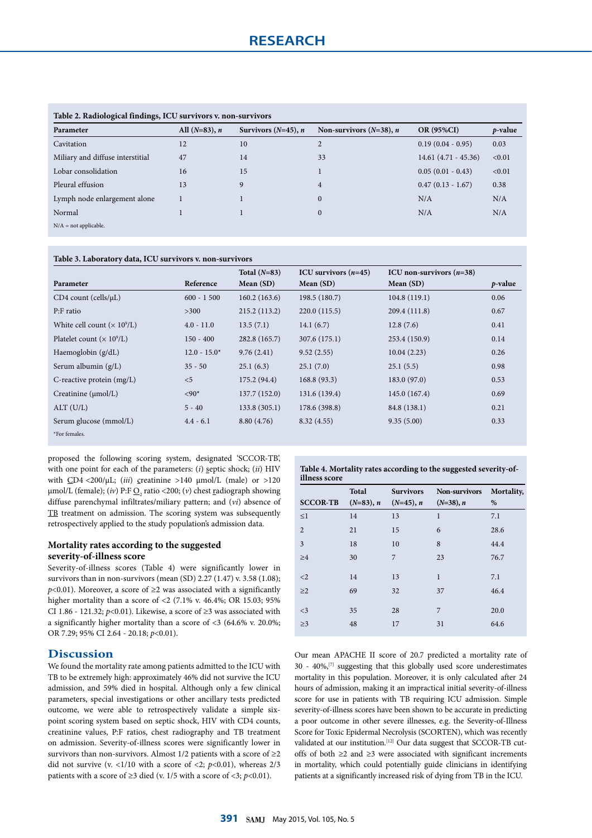| Table 2. Radiological findings, ICU survivors v. non-survivors |                  |                        |                                   |                       |            |
|----------------------------------------------------------------|------------------|------------------------|-----------------------------------|-----------------------|------------|
| Parameter                                                      | All $(N=83)$ , n | Survivors $(N=45)$ , n | Non-survivors $(N=38)$ , <i>n</i> | <b>OR (95%CI)</b>     | $p$ -value |
| Cavitation                                                     | 12               | 10                     | $\overline{2}$                    | $0.19(0.04 - 0.95)$   | 0.03       |
| Miliary and diffuse interstitial                               | 47               | 14                     | 33                                | $14.61(4.71 - 45.36)$ | < 0.01     |
| Lobar consolidation                                            | 16               | 15                     |                                   | $0.05(0.01 - 0.43)$   | < 0.01     |
| Pleural effusion                                               | 13               | 9                      | $\overline{4}$                    | $0.47(0.13 - 1.67)$   | 0.38       |
| Lymph node enlargement alone                                   |                  |                        | $\overline{0}$                    | N/A                   | N/A        |
| Normal                                                         |                  |                        | $\overline{0}$                    | N/A                   | N/A        |
| $N/A$ = not applicable.                                        |                  |                        |                                   |                       |            |
|                                                                |                  |                        |                                   |                       |            |

### **Table 2. Radiological findings, ICU survivors v. non-survivors**

**Table 3. Laboratory data, ICU survivors v. non-survivors** 

|                                     |                | Total $(N=83)$ | ICU survivors $(n=45)$ | ICU non-survivors $(n=38)$ |            |
|-------------------------------------|----------------|----------------|------------------------|----------------------------|------------|
| Parameter                           | Reference      | Mean $(SD)$    | Mean $(SD)$            | Mean $(SD)$                | $p$ -value |
| $CD4$ count (cells/ $\mu$ L)        | $600 - 1500$   | 160.2(163.6)   | 198.5(180.7)           | 104.8(119.1)               | 0.06       |
| P:F ratio                           | >300           | 215.2(113.2)   | 220.0(115.5)           | 209.4 (111.8)              | 0.67       |
| White cell count $(\times 10^9$ /L) | $4.0 - 11.0$   | 13.5(7.1)      | 14.1 $(6.7)$           | 12.8(7.6)                  | 0.41       |
| Platelet count $(\times 10^9$ /L)   | $150 - 400$    | 282.8 (165.7)  | 307.6 (175.1)          | 253.4 (150.9)              | 0.14       |
| Haemoglobin $(g/dL)$                | $12.0 - 15.0*$ | 9.76(2.41)     | 9.52(2.55)             | 10.04(2.23)                | 0.26       |
| Serum albumin $(g/L)$               | $35 - 50$      | 25.1(6.3)      | 25.1(7.0)              | 25.1(5.5)                  | 0.98       |
| C-reactive protein $(mg/L)$         | < 5            | 175.2(94.4)    | 168.8(93.3)            | 183.0(97.0)                | 0.53       |
| Creatinine $(\mu mol/L)$            | $<90*$         | 137.7 (152.0)  | 131.6 (139.4)          | 145.0 (167.4)              | 0.69       |
| ALT (U/L)                           | $5 - 40$       | 133.8(305.1)   | 178.6 (398.8)          | 84.8 (138.1)               | 0.21       |
| Serum glucose (mmol/L)              | $4.4 - 6.1$    | 8.80(4.76)     | 8.32(4.55)             | 9.35(5.00)                 | 0.33       |
| *For females.                       |                |                |                        |                            |            |

proposed the following scoring system, designated 'SCCOR-TB', with one point for each of the parameters: (*i*) septic shock; (*ii*) HIV with  $CD4 < 200/\mu L$ ; (*iii*) creatinine >140  $\mu$ mol/L (male) or >120 µmol/L (female); (*iv*) P:F <u>O<sub>2</sub></u> ratio <200; (*v*) chest <u>r</u>adiograph showing diffuse parenchymal infiltrates/miliary pattern; and (*vi*) absence of TB treatment on admission. The scoring system was subsequently retrospectively applied to the study population's admission data.

## **Mortality rates according to the suggested severity-of-illness score**

Severity-of-illness scores (Table 4) were significantly lower in survivors than in non-survivors (mean (SD) 2.27 (1.47) v. 3.58 (1.08);  $p$ <0.01). Moreover, a score of  $\geq$ 2 was associated with a significantly higher mortality than a score of  $\langle 2 \ (7.1\% \text{ v. } 46.4\%; \text{ OR } 15.03; 95\%$ CI 1.86 - 121.32;  $p$ <0.01). Likewise, a score of  $\geq$ 3 was associated with a significantly higher mortality than a score of <3 (64.6% v. 20.0%; OR 7.29; 95% CI 2.64 - 20.18; *p*<0.01).

## **Discussion**

We found the mortality rate among patients admitted to the ICU with TB to be extremely high: approximately 46% did not survive the ICU admission, and 59% died in hospital. Although only a few clinical parameters, special investigations or other ancillary tests predicted outcome, we were able to retrospectively validate a simple sixpoint scoring system based on septic shock, HIV with CD4 counts, creatinine values, P:F ratios, chest radiography and TB treatment on admission. Severity-of-illness scores were significantly lower in survivors than non-survivors. Almost 1/2 patients with a score of  $\geq$ 2 did not survive (v.  $\langle 1/10 \text{ with a score of } \langle 2; p \langle 0.01 \rangle$ , whereas  $2/3$ patients with a score of  $\geq$ 3 died (v. 1/5 with a score of <3; *p*<0.01).

|               | Table 4. Mortality rates according to the suggested severity-of- |
|---------------|------------------------------------------------------------------|
| illness score |                                                                  |

| <b>SCCOR-TB</b> | Total<br>$(N=83)$ , n | <b>Survivors</b><br>$(N=45)$ , n | Non-survivors<br>$(N=38), n$ | Mortality,<br>% |
|-----------------|-----------------------|----------------------------------|------------------------------|-----------------|
| $\leq$ 1        | 14                    | 13                               | $\mathbf{1}$                 | 7.1             |
| $\overline{2}$  | 21                    | 15                               | 6                            | 28.6            |
| 3               | 18                    | 10                               | 8                            | 44.4            |
| $\geq 4$        | 30                    | 7                                | 23                           | 76.7            |
| $<$ 2           | 14                    | 13                               | $\mathbf{1}$                 | 7.1             |
| $\geq$ 2        | 69                    | 32                               | 37                           | 46.4            |
| $<$ 3           | 35                    | 28                               | 7                            | 20.0            |
| $\geq$ 3        | 48                    | 17                               | 31                           | 64.6            |

Our mean APACHE II score of 20.7 predicted a mortality rate of 30 - 40%,[7] suggesting that this globally used score underestimates mortality in this population. Moreover, it is only calculated after 24 hours of admission, making it an impractical initial severity-of-illness score for use in patients with TB requiring ICU admission. Simple severity-of-illness scores have been shown to be accurate in predicting a poor outcome in other severe illnesses, e.g. the Severity-of-Illness Score for Toxic Epidermal Necrolysis (SCORTEN), which was recently validated at our institution.<sup>[12]</sup> Our data suggest that SCCOR-TB cutoffs of both ≥2 and ≥3 were associated with significant increments in mortality, which could potentially guide clinicians in identifying patients at a significantly increased risk of dying from TB in the ICU.